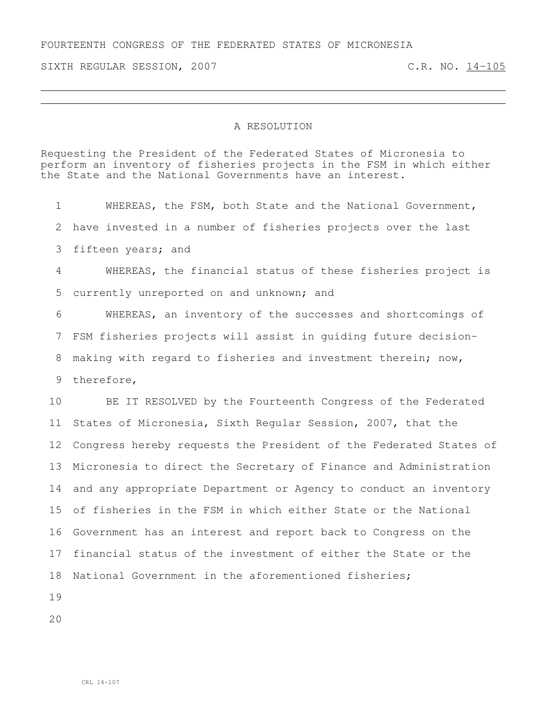FOURTEENTH CONGRESS OF THE FEDERATED STATES OF MICRONESIA

SIXTH REGULAR SESSION, 2007 C.R. NO. 14-105

## A RESOLUTION

Requesting the President of the Federated States of Micronesia to perform an inventory of fisheries projects in the FSM in which either the State and the National Governments have an interest.

 WHEREAS, the FSM, both State and the National Government, have invested in a number of fisheries projects over the last fifteen years; and WHEREAS, the financial status of these fisheries project is currently unreported on and unknown; and WHEREAS, an inventory of the successes and shortcomings of FSM fisheries projects will assist in guiding future decision- making with regard to fisheries and investment therein; now, therefore, BE IT RESOLVED by the Fourteenth Congress of the Federated States of Micronesia, Sixth Regular Session, 2007, that the Congress hereby requests the President of the Federated States of Micronesia to direct the Secretary of Finance and Administration and any appropriate Department or Agency to conduct an inventory of fisheries in the FSM in which either State or the National Government has an interest and report back to Congress on the financial status of the investment of either the State or the National Government in the aforementioned fisheries;